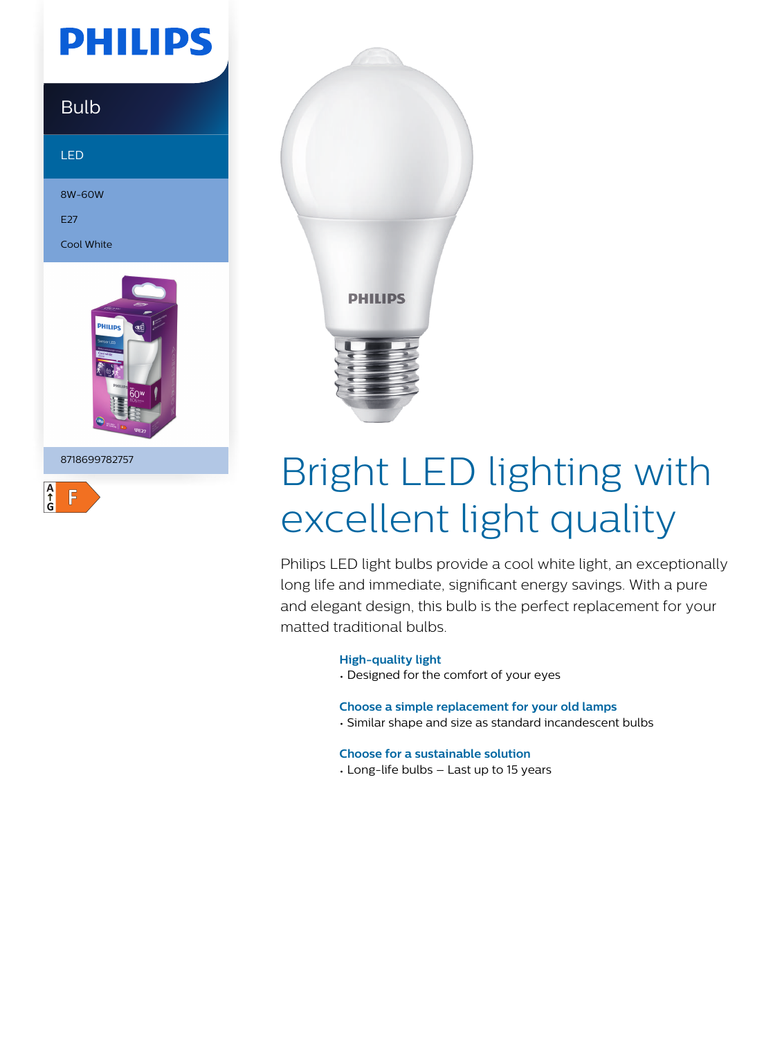## **PHILIPS**

### Bulb

LED

8W-60W

E27

Cool White



8718699782757





# Bright LED lighting with excellent light quality

Philips LED light bulbs provide a cool white light, an exceptionally long life and immediate, significant energy savings. With a pure and elegant design, this bulb is the perfect replacement for your matted traditional bulbs.

#### **High-quality light**

• Designed for the comfort of your eyes

#### **Choose a simple replacement for your old lamps**

• Similar shape and size as standard incandescent bulbs

#### **Choose for a sustainable solution**

• Long-life bulbs – Last up to 15 years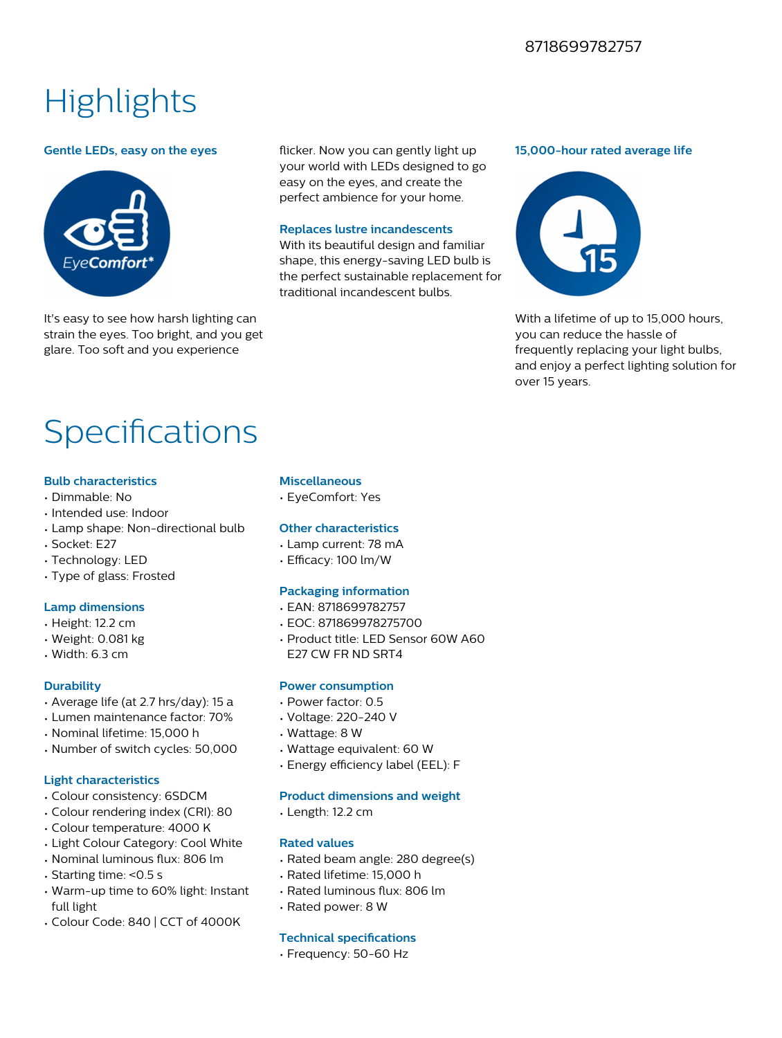#### 8718699782757

### **Highlights**

#### **Gentle LEDs, easy on the eyes**



It's easy to see how harsh lighting can strain the eyes. Too bright, and you get glare. Too soft and you experience

flicker. Now you can gently light up your world with LEDs designed to go easy on the eyes, and create the perfect ambience for your home.

#### **Replaces lustre incandescents**

With its beautiful design and familiar shape, this energy-saving LED bulb is the perfect sustainable replacement for traditional incandescent bulbs.

#### **15,000-hour rated average life**



With a lifetime of up to 15,000 hours, you can reduce the hassle of frequently replacing your light bulbs, and enjoy a perfect lighting solution for over 15 years.

## Specifications

#### **Bulb characteristics**

- Dimmable: No
- Intended use: Indoor
- Lamp shape: Non-directional bulb
- Socket: E27
- Technology: LED
- Type of glass: Frosted

#### **Lamp dimensions**

- Height: 12.2 cm
- Weight: 0.081 kg
- Width: 6.3 cm

#### **Durability**

- Average life (at 2.7 hrs/day): 15 a
- Lumen maintenance factor: 70%
- Nominal lifetime: 15,000 h
- Number of switch cycles: 50,000

#### **Light characteristics**

- Colour consistency: 6SDCM
- Colour rendering index (CRI): 80
- Colour temperature: 4000 K
- Light Colour Category: Cool White
- Nominal luminous flux: 806 lm
- Starting time: <0.5 s
- Warm-up time to 60% light: Instant full light
- Colour Code: 840 | CCT of 4000K

#### **Miscellaneous**

• EyeComfort: Yes

#### **Other characteristics**

- Lamp current: 78 mA
- Efficacy: 100 lm/W

#### **Packaging information**

- EAN: 8718699782757
- EOC: 871869978275700
- Product title: LED Sensor 60W A60 E27 CW FR ND SRT4

#### **Power consumption**

- Power factor: 0.5
- Voltage: 220-240 V
- Wattage: 8 W
- Wattage equivalent: 60 W
- Energy efficiency label (EEL): F

#### **Product dimensions and weight**

• Length: 12.2 cm

#### **Rated values**

- Rated beam angle: 280 degree(s)
- Rated lifetime: 15,000 h
- Rated luminous flux: 806 lm
- Rated power: 8 W

#### **Technical specifications**

• Frequency: 50-60 Hz